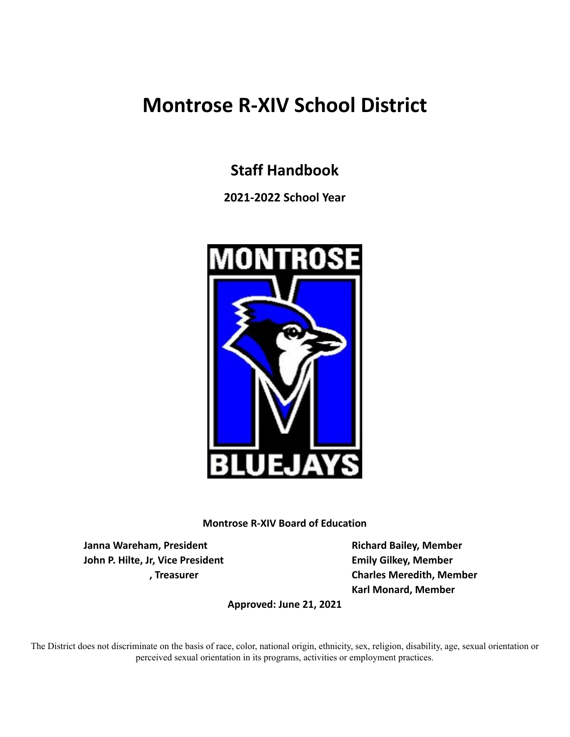# **Montrose R-XIV School District**

## **Staff Handbook**

**2021-2022 School Year**



**Montrose R-XIV Board of Education**

**Janna Wareham, President Richard Bailey, Member John P. Hilte, Jr, Vice President Emily Gilkey, Member**

**, Treasurer Charles Meredith, Member Karl Monard, Member**

**Approved: June 21, 2021**

The District does not discriminate on the basis of race, color, national origin, ethnicity, sex, religion, disability, age, sexual orientation or perceived sexual orientation in its programs, activities or employment practices.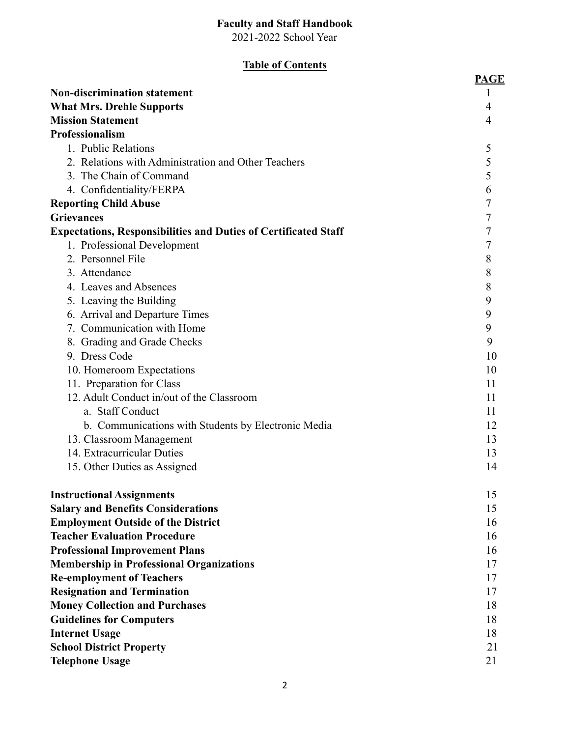## **Faculty and Staff Handbook**

2021-2022 School Year

## **Table of Contents**

|                                                                        | <b>PAGE</b>    |
|------------------------------------------------------------------------|----------------|
| <b>Non-discrimination statement</b>                                    | 1              |
| <b>What Mrs. Drehle Supports</b>                                       | 4              |
| <b>Mission Statement</b>                                               | 4              |
| Professionalism                                                        |                |
| 1. Public Relations                                                    | 5              |
| 2. Relations with Administration and Other Teachers                    | 5              |
| 3. The Chain of Command                                                | 5              |
| 4. Confidentiality/FERPA                                               | 6              |
| <b>Reporting Child Abuse</b>                                           | $\overline{7}$ |
| <b>Grievances</b>                                                      | 7              |
| <b>Expectations, Responsibilities and Duties of Certificated Staff</b> | 7              |
| 1. Professional Development                                            | 7              |
| 2. Personnel File                                                      | 8              |
| 3. Attendance                                                          | 8              |
| 4. Leaves and Absences                                                 | $8\,$          |
| 5. Leaving the Building                                                | 9              |
| 6. Arrival and Departure Times                                         | 9              |
| 7. Communication with Home                                             | 9              |
| 8. Grading and Grade Checks                                            | 9              |
| 9. Dress Code                                                          | 10             |
| 10. Homeroom Expectations                                              | 10             |
| 11. Preparation for Class                                              | 11             |
| 12. Adult Conduct in/out of the Classroom                              | 11             |
| a. Staff Conduct                                                       | 11             |
| b. Communications with Students by Electronic Media                    | 12             |
| 13. Classroom Management                                               | 13             |
| 14. Extracurricular Duties                                             | 13             |
| 15. Other Duties as Assigned                                           | 14             |
| <b>Instructional Assignments</b>                                       | 15             |
| <b>Salary and Benefits Considerations</b>                              | 15             |
| <b>Employment Outside of the District</b>                              | 16             |
| <b>Teacher Evaluation Procedure</b>                                    | 16             |
| <b>Professional Improvement Plans</b>                                  | 16             |
| <b>Membership in Professional Organizations</b>                        | 17             |
| <b>Re-employment of Teachers</b>                                       | 17             |
| <b>Resignation and Termination</b>                                     | 17             |
| <b>Money Collection and Purchases</b>                                  | 18             |
| <b>Guidelines for Computers</b>                                        | 18             |
| <b>Internet Usage</b>                                                  | 18             |
| <b>School District Property</b>                                        | 21             |
| <b>Telephone Usage</b>                                                 | 21             |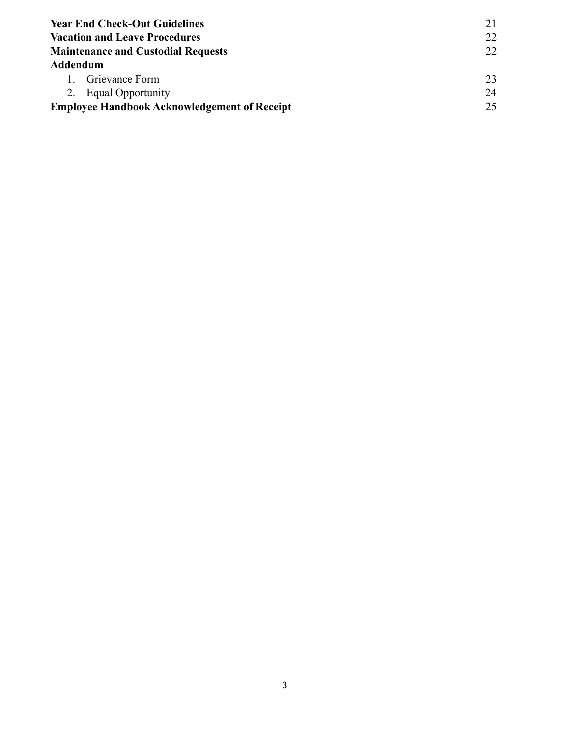| <b>Year End Check-Out Guidelines</b>                | 21 |
|-----------------------------------------------------|----|
| <b>Vacation and Leave Procedures</b>                | 22 |
| <b>Maintenance and Custodial Requests</b>           | 22 |
| Addendum                                            |    |
| 1. Grievance Form                                   | 23 |
| 2. Equal Opportunity                                | 24 |
| <b>Employee Handbook Acknowledgement of Receipt</b> | 25 |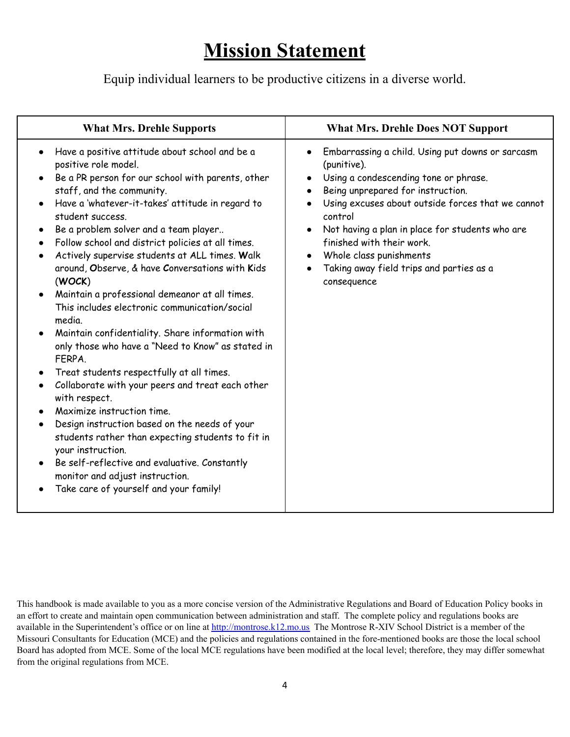# **Mission Statement**

Equip individual learners to be productive citizens in a diverse world.

| <b>What Mrs. Drehle Supports</b>                                                                                                                                                                                                                                                                                                                                                                                                                                                                                                                                                                                                                                                                                                                                                                                                                                                                                                                                                                                                                                                       | <b>What Mrs. Drehle Does NOT Support</b>                                                                                                                                                                                                                                                                                                                                                                                                             |
|----------------------------------------------------------------------------------------------------------------------------------------------------------------------------------------------------------------------------------------------------------------------------------------------------------------------------------------------------------------------------------------------------------------------------------------------------------------------------------------------------------------------------------------------------------------------------------------------------------------------------------------------------------------------------------------------------------------------------------------------------------------------------------------------------------------------------------------------------------------------------------------------------------------------------------------------------------------------------------------------------------------------------------------------------------------------------------------|------------------------------------------------------------------------------------------------------------------------------------------------------------------------------------------------------------------------------------------------------------------------------------------------------------------------------------------------------------------------------------------------------------------------------------------------------|
| Have a positive attitude about school and be a<br>positive role model.<br>Be a PR person for our school with parents, other<br>staff, and the community.<br>Have a 'whatever-it-takes' attitude in regard to<br>student success.<br>Be a problem solver and a team player<br>Follow school and district policies at all times.<br>Actively supervise students at ALL times. Walk<br>around, Observe, & have Conversations with Kids<br>(WOCK)<br>Maintain a professional demeanor at all times.<br>This includes electronic communication/social<br>media.<br>Maintain confidentiality. Share information with<br>only those who have a "Need to Know" as stated in<br>FERPA.<br>Treat students respectfully at all times.<br>Collaborate with your peers and treat each other<br>with respect.<br>Maximize instruction time.<br>Design instruction based on the needs of your<br>students rather than expecting students to fit in<br>your instruction.<br>Be self-reflective and evaluative. Constantly<br>monitor and adjust instruction.<br>Take care of yourself and your family! | Embarrassing a child. Using put downs or sarcasm<br>$\bullet$<br>(punitive).<br>Using a condescending tone or phrase.<br>$\bullet$<br>Being unprepared for instruction.<br>$\bullet$<br>Using excuses about outside forces that we cannot<br>control<br>Not having a plan in place for students who are<br>$\bullet$<br>finished with their work.<br>Whole class punishments<br>$\bullet$<br>Taking away field trips and parties as a<br>consequence |

This handbook is made available to you as a more concise version of the Administrative Regulations and Board of Education Policy books in an effort to create and maintain open communication between administration and staff. The complete policy and regulations books are available in the Superintendent's office or on line at <http://montrose.k12.mo.us> The Montrose R-XIV School District is a member of the Missouri Consultants for Education (MCE) and the policies and regulations contained in the fore-mentioned books are those the local school Board has adopted from MCE. Some of the local MCE regulations have been modified at the local level; therefore, they may differ somewhat from the original regulations from MCE.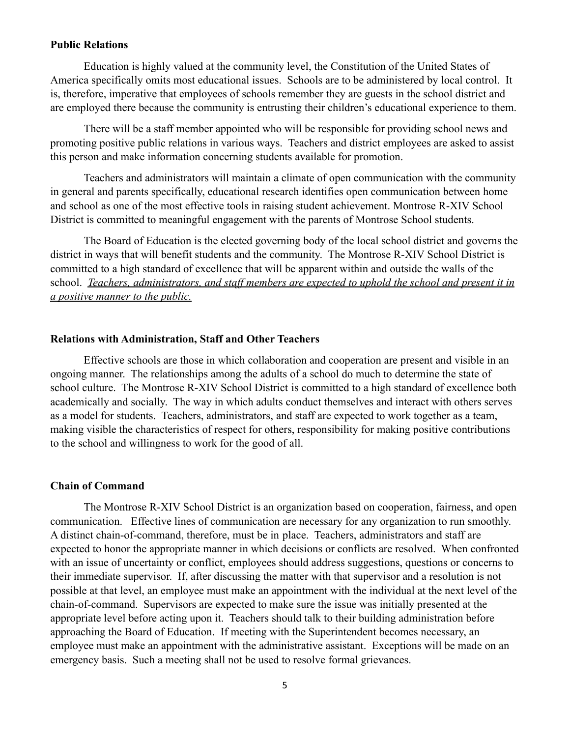#### **Public Relations**

Education is highly valued at the community level, the Constitution of the United States of America specifically omits most educational issues. Schools are to be administered by local control. It is, therefore, imperative that employees of schools remember they are guests in the school district and are employed there because the community is entrusting their children's educational experience to them.

There will be a staff member appointed who will be responsible for providing school news and promoting positive public relations in various ways. Teachers and district employees are asked to assist this person and make information concerning students available for promotion.

Teachers and administrators will maintain a climate of open communication with the community in general and parents specifically, educational research identifies open communication between home and school as one of the most effective tools in raising student achievement. Montrose R-XIV School District is committed to meaningful engagement with the parents of Montrose School students.

The Board of Education is the elected governing body of the local school district and governs the district in ways that will benefit students and the community. The Montrose R-XIV School District is committed to a high standard of excellence that will be apparent within and outside the walls of the school. *Teachers, administrators, and staff members are expected to uphold the school and present it in a positive manner to the public.*

#### **Relations with Administration, Staff and Other Teachers**

Effective schools are those in which collaboration and cooperation are present and visible in an ongoing manner. The relationships among the adults of a school do much to determine the state of school culture. The Montrose R-XIV School District is committed to a high standard of excellence both academically and socially. The way in which adults conduct themselves and interact with others serves as a model for students. Teachers, administrators, and staff are expected to work together as a team, making visible the characteristics of respect for others, responsibility for making positive contributions to the school and willingness to work for the good of all.

#### **Chain of Command**

The Montrose R-XIV School District is an organization based on cooperation, fairness, and open communication. Effective lines of communication are necessary for any organization to run smoothly. A distinct chain-of-command, therefore, must be in place. Teachers, administrators and staff are expected to honor the appropriate manner in which decisions or conflicts are resolved. When confronted with an issue of uncertainty or conflict, employees should address suggestions, questions or concerns to their immediate supervisor. If, after discussing the matter with that supervisor and a resolution is not possible at that level, an employee must make an appointment with the individual at the next level of the chain-of-command. Supervisors are expected to make sure the issue was initially presented at the appropriate level before acting upon it. Teachers should talk to their building administration before approaching the Board of Education. If meeting with the Superintendent becomes necessary, an employee must make an appointment with the administrative assistant. Exceptions will be made on an emergency basis. Such a meeting shall not be used to resolve formal grievances.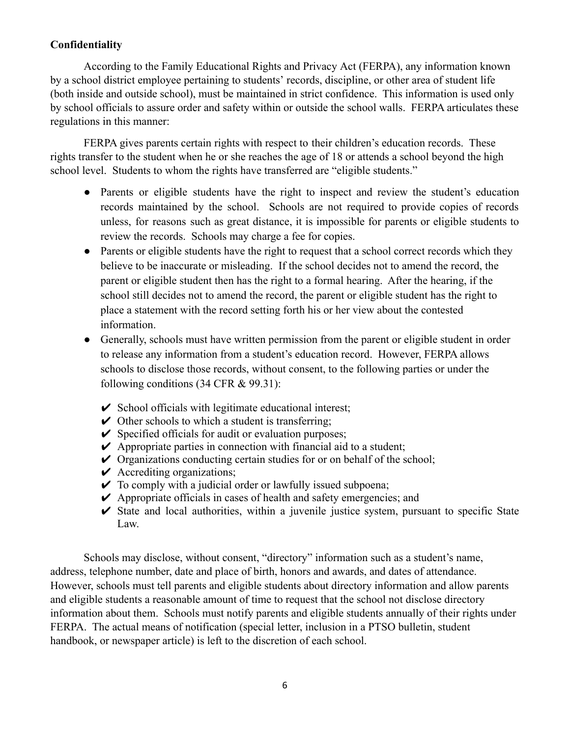## **Confidentiality**

According to the Family Educational Rights and Privacy Act (FERPA), any information known by a school district employee pertaining to students' records, discipline, or other area of student life (both inside and outside school), must be maintained in strict confidence. This information is used only by school officials to assure order and safety within or outside the school walls. FERPA articulates these regulations in this manner:

FERPA gives parents certain rights with respect to their children's education records. These rights transfer to the student when he or she reaches the age of 18 or attends a school beyond the high school level. Students to whom the rights have transferred are "eligible students."

- Parents or eligible students have the right to inspect and review the student's education records maintained by the school. Schools are not required to provide copies of records unless, for reasons such as great distance, it is impossible for parents or eligible students to review the records. Schools may charge a fee for copies.
- Parents or eligible students have the right to request that a school correct records which they believe to be inaccurate or misleading. If the school decides not to amend the record, the parent or eligible student then has the right to a formal hearing. After the hearing, if the school still decides not to amend the record, the parent or eligible student has the right to place a statement with the record setting forth his or her view about the contested information.
- Generally, schools must have written permission from the parent or eligible student in order to release any information from a student's education record. However, FERPA allows schools to disclose those records, without consent, to the following parties or under the following conditions (34 CFR & 99.31):
	- $\triangleright$  School officials with legitimate educational interest;
	- $\vee$  Other schools to which a student is transferring;
	- $\triangleright$  Specified officials for audit or evaluation purposes;
	- $\triangleright$  Appropriate parties in connection with financial aid to a student;
	- $\vee$  Organizations conducting certain studies for or on behalf of the school;
	- $\vee$  Accrediting organizations;
	- $\triangleright$  To comply with a judicial order or lawfully issued subpoena;
	- $\triangleright$  Appropriate officials in cases of health and safety emergencies; and
	- $\triangleright$  State and local authorities, within a juvenile justice system, pursuant to specific State Law.

Schools may disclose, without consent, "directory" information such as a student's name, address, telephone number, date and place of birth, honors and awards, and dates of attendance. However, schools must tell parents and eligible students about directory information and allow parents and eligible students a reasonable amount of time to request that the school not disclose directory information about them. Schools must notify parents and eligible students annually of their rights under FERPA. The actual means of notification (special letter, inclusion in a PTSO bulletin, student handbook, or newspaper article) is left to the discretion of each school.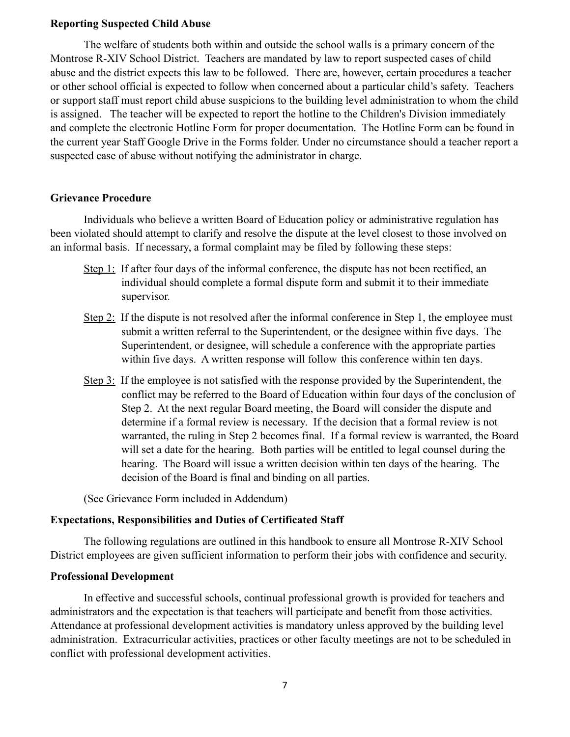#### **Reporting Suspected Child Abuse**

The welfare of students both within and outside the school walls is a primary concern of the Montrose R-XIV School District. Teachers are mandated by law to report suspected cases of child abuse and the district expects this law to be followed. There are, however, certain procedures a teacher or other school official is expected to follow when concerned about a particular child's safety. Teachers or support staff must report child abuse suspicions to the building level administration to whom the child is assigned. The teacher will be expected to report the hotline to the Children's Division immediately and complete the electronic Hotline Form for proper documentation. The Hotline Form can be found in the current year Staff Google Drive in the Forms folder. Under no circumstance should a teacher report a suspected case of abuse without notifying the administrator in charge.

#### **Grievance Procedure**

Individuals who believe a written Board of Education policy or administrative regulation has been violated should attempt to clarify and resolve the dispute at the level closest to those involved on an informal basis. If necessary, a formal complaint may be filed by following these steps:

- Step 1: If after four days of the informal conference, the dispute has not been rectified, an individual should complete a formal dispute form and submit it to their immediate supervisor.
- Step 2: If the dispute is not resolved after the informal conference in Step 1, the employee must submit a written referral to the Superintendent, or the designee within five days. The Superintendent, or designee, will schedule a conference with the appropriate parties within five days. A written response will follow this conference within ten days.
- Step 3: If the employee is not satisfied with the response provided by the Superintendent, the conflict may be referred to the Board of Education within four days of the conclusion of Step 2. At the next regular Board meeting, the Board will consider the dispute and determine if a formal review is necessary. If the decision that a formal review is not warranted, the ruling in Step 2 becomes final. If a formal review is warranted, the Board will set a date for the hearing. Both parties will be entitled to legal counsel during the hearing. The Board will issue a written decision within ten days of the hearing. The decision of the Board is final and binding on all parties.

(See Grievance Form included in Addendum)

#### **Expectations, Responsibilities and Duties of Certificated Staff**

The following regulations are outlined in this handbook to ensure all Montrose R-XIV School District employees are given sufficient information to perform their jobs with confidence and security.

#### **Professional Development**

In effective and successful schools, continual professional growth is provided for teachers and administrators and the expectation is that teachers will participate and benefit from those activities. Attendance at professional development activities is mandatory unless approved by the building level administration. Extracurricular activities, practices or other faculty meetings are not to be scheduled in conflict with professional development activities.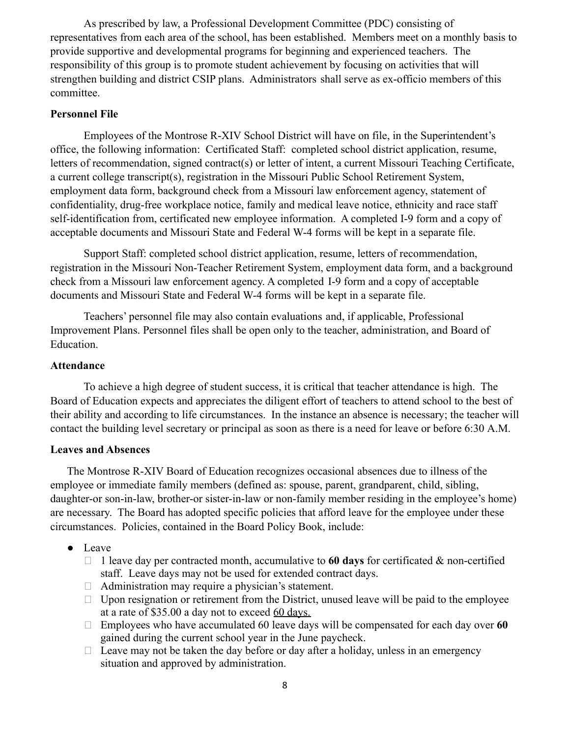As prescribed by law, a Professional Development Committee (PDC) consisting of representatives from each area of the school, has been established. Members meet on a monthly basis to provide supportive and developmental programs for beginning and experienced teachers. The responsibility of this group is to promote student achievement by focusing on activities that will strengthen building and district CSIP plans. Administrators shall serve as ex-officio members of this committee.

### **Personnel File**

Employees of the Montrose R-XIV School District will have on file, in the Superintendent's office, the following information: Certificated Staff: completed school district application, resume, letters of recommendation, signed contract(s) or letter of intent, a current Missouri Teaching Certificate, a current college transcript(s), registration in the Missouri Public School Retirement System, employment data form, background check from a Missouri law enforcement agency, statement of confidentiality, drug-free workplace notice, family and medical leave notice, ethnicity and race staff self-identification from, certificated new employee information. A completed I-9 form and a copy of acceptable documents and Missouri State and Federal W-4 forms will be kept in a separate file.

Support Staff: completed school district application, resume, letters of recommendation, registration in the Missouri Non-Teacher Retirement System, employment data form, and a background check from a Missouri law enforcement agency. A completed I-9 form and a copy of acceptable documents and Missouri State and Federal W-4 forms will be kept in a separate file.

Teachers' personnel file may also contain evaluations and, if applicable, Professional Improvement Plans. Personnel files shall be open only to the teacher, administration, and Board of Education.

#### **Attendance**

To achieve a high degree of student success, it is critical that teacher attendance is high. The Board of Education expects and appreciates the diligent effort of teachers to attend school to the best of their ability and according to life circumstances. In the instance an absence is necessary; the teacher will contact the building level secretary or principal as soon as there is a need for leave or before 6:30 A.M.

#### **Leaves and Absences**

The Montrose R-XIV Board of Education recognizes occasional absences due to illness of the employee or immediate family members (defined as: spouse, parent, grandparent, child, sibling, daughter-or son-in-law, brother-or sister-in-law or non-family member residing in the employee's home) are necessary. The Board has adopted specific policies that afford leave for the employee under these circumstances. Policies, contained in the Board Policy Book, include:

- Leave
	- $\Box$  1 leave day per contracted month, accumulative to **60 days** for certificated & non-certified staff. Leave days may not be used for extended contract days.
	- $\Box$  Administration may require a physician's statement.
	- $\Box$  Upon resignation or retirement from the District, unused leave will be paid to the employee at a rate of \$35.00 a day not to exceed 60 days.
	- ⮚ Employees who have accumulated 60 leave days will be compensated for each day over **60** gained during the current school year in the June paycheck.
	- $\Box$  Leave may not be taken the day before or day after a holiday, unless in an emergency situation and approved by administration.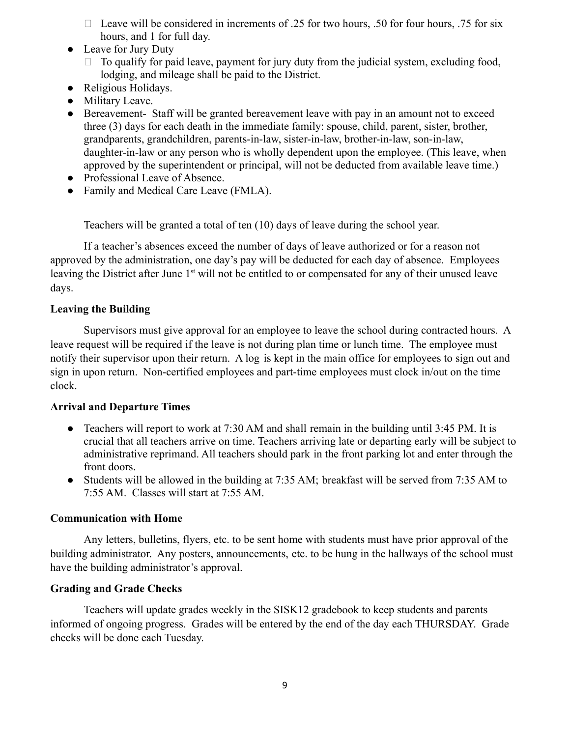- $\Box$  Leave will be considered in increments of .25 for two hours, .50 for four hours, .75 for six hours, and 1 for full day.
- Leave for Jury Duty
	- $\Box$  To qualify for paid leave, payment for jury duty from the judicial system, excluding food, lodging, and mileage shall be paid to the District.
- Religious Holidays.
- Military Leave.
- Bereavement- Staff will be granted bereavement leave with pay in an amount not to exceed three (3) days for each death in the immediate family: spouse, child, parent, sister, brother, grandparents, grandchildren, parents-in-law, sister-in-law, brother-in-law, son-in-law, daughter-in-law or any person who is wholly dependent upon the employee. (This leave, when approved by the superintendent or principal, will not be deducted from available leave time.)
- Professional Leave of Absence.
- Family and Medical Care Leave (FMLA).

Teachers will be granted a total of ten (10) days of leave during the school year.

If a teacher's absences exceed the number of days of leave authorized or for a reason not approved by the administration, one day's pay will be deducted for each day of absence. Employees leaving the District after June 1<sup>st</sup> will not be entitled to or compensated for any of their unused leave days.

## **Leaving the Building**

Supervisors must give approval for an employee to leave the school during contracted hours. A leave request will be required if the leave is not during plan time or lunch time. The employee must notify their supervisor upon their return. A log is kept in the main office for employees to sign out and sign in upon return. Non-certified employees and part-time employees must clock in/out on the time clock.

## **Arrival and Departure Times**

- Teachers will report to work at 7:30 AM and shall remain in the building until 3:45 PM. It is crucial that all teachers arrive on time. Teachers arriving late or departing early will be subject to administrative reprimand. All teachers should park in the front parking lot and enter through the front doors.
- Students will be allowed in the building at 7:35 AM; breakfast will be served from 7:35 AM to 7:55 AM. Classes will start at 7:55 AM.

## **Communication with Home**

Any letters, bulletins, flyers, etc. to be sent home with students must have prior approval of the building administrator. Any posters, announcements, etc. to be hung in the hallways of the school must have the building administrator's approval.

## **Grading and Grade Checks**

Teachers will update grades weekly in the SISK12 gradebook to keep students and parents informed of ongoing progress. Grades will be entered by the end of the day each THURSDAY. Grade checks will be done each Tuesday.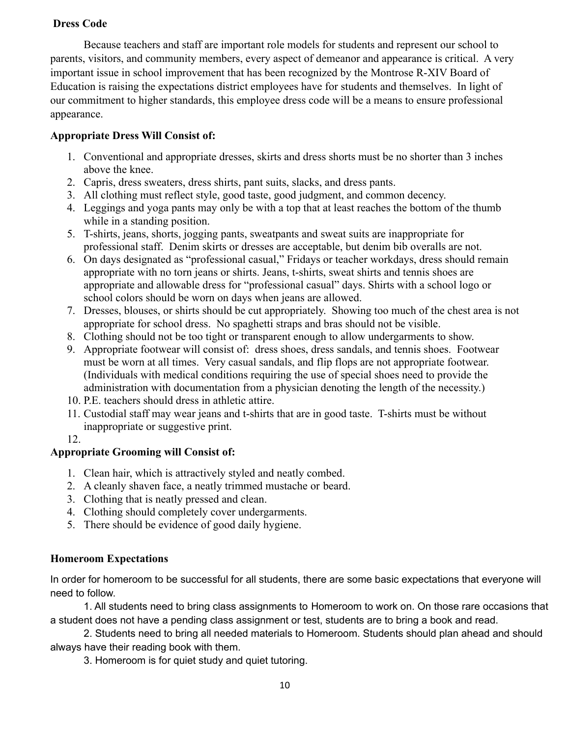## **Dress Code**

Because teachers and staff are important role models for students and represent our school to parents, visitors, and community members, every aspect of demeanor and appearance is critical. A very important issue in school improvement that has been recognized by the Montrose R-XIV Board of Education is raising the expectations district employees have for students and themselves. In light of our commitment to higher standards, this employee dress code will be a means to ensure professional appearance.

## **Appropriate Dress Will Consist of:**

- 1. Conventional and appropriate dresses, skirts and dress shorts must be no shorter than 3 inches above the knee.
- 2. Capris, dress sweaters, dress shirts, pant suits, slacks, and dress pants.
- 3. All clothing must reflect style, good taste, good judgment, and common decency.
- 4. Leggings and yoga pants may only be with a top that at least reaches the bottom of the thumb while in a standing position.
- 5. T-shirts, jeans, shorts, jogging pants, sweatpants and sweat suits are inappropriate for professional staff. Denim skirts or dresses are acceptable, but denim bib overalls are not.
- 6. On days designated as "professional casual," Fridays or teacher workdays, dress should remain appropriate with no torn jeans or shirts. Jeans, t-shirts, sweat shirts and tennis shoes are appropriate and allowable dress for "professional casual" days. Shirts with a school logo or school colors should be worn on days when jeans are allowed.
- 7. Dresses, blouses, or shirts should be cut appropriately. Showing too much of the chest area is not appropriate for school dress. No spaghetti straps and bras should not be visible.
- 8. Clothing should not be too tight or transparent enough to allow undergarments to show.
- 9. Appropriate footwear will consist of: dress shoes, dress sandals, and tennis shoes. Footwear must be worn at all times. Very casual sandals, and flip flops are not appropriate footwear. (Individuals with medical conditions requiring the use of special shoes need to provide the administration with documentation from a physician denoting the length of the necessity.)
- 10. P.E. teachers should dress in athletic attire.
- 11. Custodial staff may wear jeans and t-shirts that are in good taste. T-shirts must be without inappropriate or suggestive print.

12.

## **Appropriate Grooming will Consist of:**

- 1. Clean hair, which is attractively styled and neatly combed.
- 2. A cleanly shaven face, a neatly trimmed mustache or beard.
- 3. Clothing that is neatly pressed and clean.
- 4. Clothing should completely cover undergarments.
- 5. There should be evidence of good daily hygiene.

## **Homeroom Expectations**

In order for homeroom to be successful for all students, there are some basic expectations that everyone will need to follow.

1. All students need to bring class assignments to Homeroom to work on. On those rare occasions that a student does not have a pending class assignment or test, students are to bring a book and read.

2. Students need to bring all needed materials to Homeroom. Students should plan ahead and should always have their reading book with them.

3. Homeroom is for quiet study and quiet tutoring.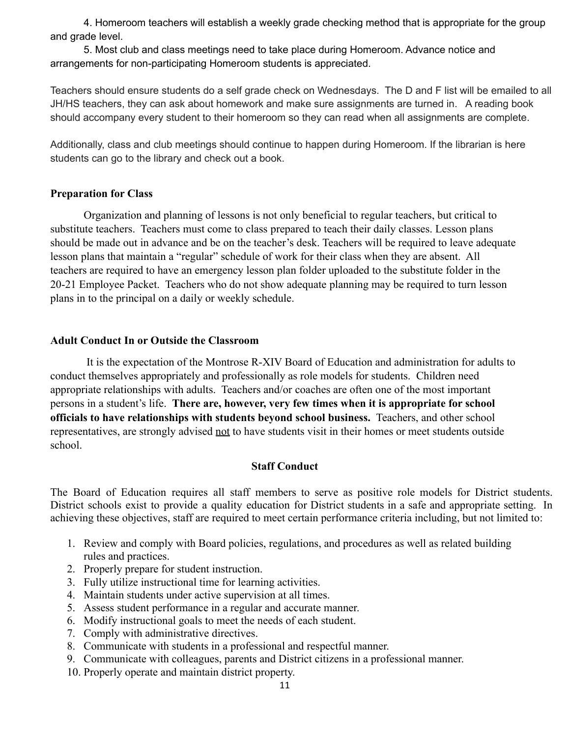4. Homeroom teachers will establish a weekly grade checking method that is appropriate for the group and grade level.

5. Most club and class meetings need to take place during Homeroom. Advance notice and arrangements for non-participating Homeroom students is appreciated.

Teachers should ensure students do a self grade check on Wednesdays. The D and F list will be emailed to all JH/HS teachers, they can ask about homework and make sure assignments are turned in. A reading book should accompany every student to their homeroom so they can read when all assignments are complete.

Additionally, class and club meetings should continue to happen during Homeroom. If the librarian is here students can go to the library and check out a book.

## **Preparation for Class**

Organization and planning of lessons is not only beneficial to regular teachers, but critical to substitute teachers. Teachers must come to class prepared to teach their daily classes. Lesson plans should be made out in advance and be on the teacher's desk. Teachers will be required to leave adequate lesson plans that maintain a "regular" schedule of work for their class when they are absent. All teachers are required to have an emergency lesson plan folder uploaded to the substitute folder in the 20-21 Employee Packet. Teachers who do not show adequate planning may be required to turn lesson plans in to the principal on a daily or weekly schedule.

#### **Adult Conduct In or Outside the Classroom**

It is the expectation of the Montrose R-XIV Board of Education and administration for adults to conduct themselves appropriately and professionally as role models for students. Children need appropriate relationships with adults. Teachers and/or coaches are often one of the most important persons in a student's life. **There are, however, very few times when it is appropriate for school officials to have relationships with students beyond school business.** Teachers, and other school representatives, are strongly advised not to have students visit in their homes or meet students outside school.

## **Staff Conduct**

The Board of Education requires all staff members to serve as positive role models for District students. District schools exist to provide a quality education for District students in a safe and appropriate setting. In achieving these objectives, staff are required to meet certain performance criteria including, but not limited to:

- 1. Review and comply with Board policies, regulations, and procedures as well as related building rules and practices.
- 2. Properly prepare for student instruction.
- 3. Fully utilize instructional time for learning activities.
- 4. Maintain students under active supervision at all times.
- 5. Assess student performance in a regular and accurate manner.
- 6. Modify instructional goals to meet the needs of each student.
- 7. Comply with administrative directives.
- 8. Communicate with students in a professional and respectful manner.
- 9. Communicate with colleagues, parents and District citizens in a professional manner.
- 10. Properly operate and maintain district property.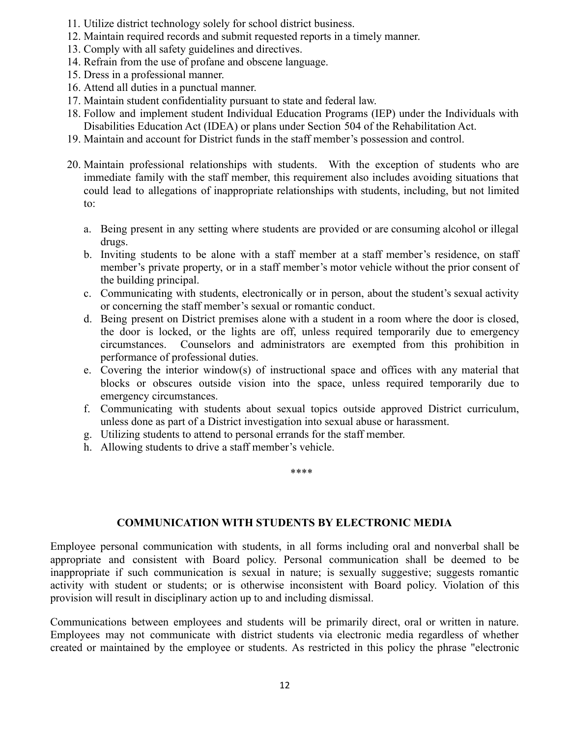- 11. Utilize district technology solely for school district business.
- 12. Maintain required records and submit requested reports in a timely manner.
- 13. Comply with all safety guidelines and directives.
- 14. Refrain from the use of profane and obscene language.
- 15. Dress in a professional manner.
- 16. Attend all duties in a punctual manner.
- 17. Maintain student confidentiality pursuant to state and federal law.
- 18. Follow and implement student Individual Education Programs (IEP) under the Individuals with Disabilities Education Act (IDEA) or plans under Section 504 of the Rehabilitation Act.
- 19. Maintain and account for District funds in the staff member's possession and control.
- 20. Maintain professional relationships with students. With the exception of students who are immediate family with the staff member, this requirement also includes avoiding situations that could lead to allegations of inappropriate relationships with students, including, but not limited to:
	- a. Being present in any setting where students are provided or are consuming alcohol or illegal drugs.
	- b. Inviting students to be alone with a staff member at a staff member's residence, on staff member's private property, or in a staff member's motor vehicle without the prior consent of the building principal.
	- c. Communicating with students, electronically or in person, about the student's sexual activity or concerning the staff member's sexual or romantic conduct.
	- d. Being present on District premises alone with a student in a room where the door is closed, the door is locked, or the lights are off, unless required temporarily due to emergency circumstances. Counselors and administrators are exempted from this prohibition in performance of professional duties.
	- e. Covering the interior window(s) of instructional space and offices with any material that blocks or obscures outside vision into the space, unless required temporarily due to emergency circumstances.
	- f. Communicating with students about sexual topics outside approved District curriculum, unless done as part of a District investigation into sexual abuse or harassment.
	- g. Utilizing students to attend to personal errands for the staff member.
	- h. Allowing students to drive a staff member's vehicle.

\*\*\*\*

## **COMMUNICATION WITH STUDENTS BY ELECTRONIC MEDIA**

Employee personal communication with students, in all forms including oral and nonverbal shall be appropriate and consistent with Board policy. Personal communication shall be deemed to be inappropriate if such communication is sexual in nature; is sexually suggestive; suggests romantic activity with student or students; or is otherwise inconsistent with Board policy. Violation of this provision will result in disciplinary action up to and including dismissal.

Communications between employees and students will be primarily direct, oral or written in nature. Employees may not communicate with district students via electronic media regardless of whether created or maintained by the employee or students. As restricted in this policy the phrase "electronic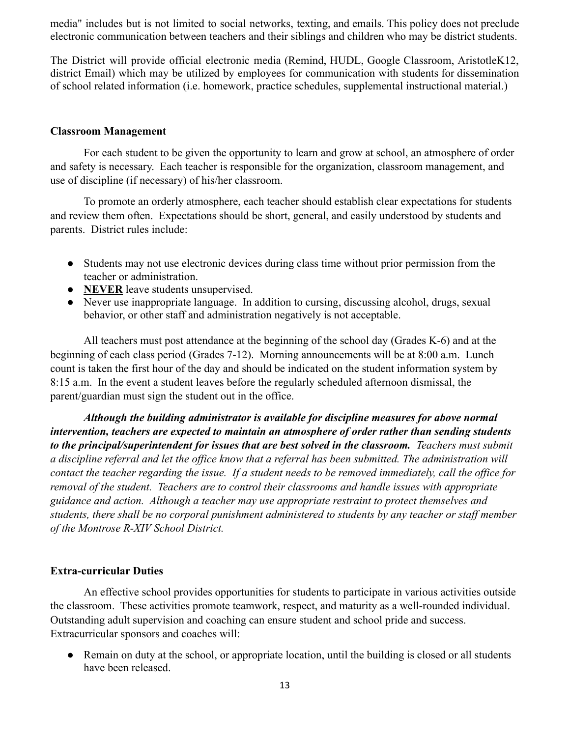media" includes but is not limited to social networks, texting, and emails. This policy does not preclude electronic communication between teachers and their siblings and children who may be district students.

The District will provide official electronic media (Remind, HUDL, Google Classroom, AristotleK12, district Email) which may be utilized by employees for communication with students for dissemination of school related information (i.e. homework, practice schedules, supplemental instructional material.)

#### **Classroom Management**

For each student to be given the opportunity to learn and grow at school, an atmosphere of order and safety is necessary. Each teacher is responsible for the organization, classroom management, and use of discipline (if necessary) of his/her classroom.

To promote an orderly atmosphere, each teacher should establish clear expectations for students and review them often. Expectations should be short, general, and easily understood by students and parents. District rules include:

- Students may not use electronic devices during class time without prior permission from the teacher or administration.
- **NEVER** leave students unsupervised.
- Never use inappropriate language. In addition to cursing, discussing alcohol, drugs, sexual behavior, or other staff and administration negatively is not acceptable.

All teachers must post attendance at the beginning of the school day (Grades K-6) and at the beginning of each class period (Grades 7-12). Morning announcements will be at 8:00 a.m. Lunch count is taken the first hour of the day and should be indicated on the student information system by 8:15 a.m. In the event a student leaves before the regularly scheduled afternoon dismissal, the parent/guardian must sign the student out in the office.

*Although the building administrator is available for discipline measures for above normal intervention, teachers are expected to maintain an atmosphere of order rather than sending students to the principal/superintendent for issues that are best solved in the classroom. Teachers must submit a discipline referral and let the office know that a referral has been submitted. The administration will contact the teacher regarding the issue. If a student needs to be removed immediately, call the office for removal of the student. Teachers are to control their classrooms and handle issues with appropriate guidance and action. Although a teacher may use appropriate restraint to protect themselves and students, there shall be no corporal punishment administered to students by any teacher or staff member of the Montrose R-XIV School District.*

#### **Extra-curricular Duties**

An effective school provides opportunities for students to participate in various activities outside the classroom. These activities promote teamwork, respect, and maturity as a well-rounded individual. Outstanding adult supervision and coaching can ensure student and school pride and success. Extracurricular sponsors and coaches will:

• Remain on duty at the school, or appropriate location, until the building is closed or all students have been released.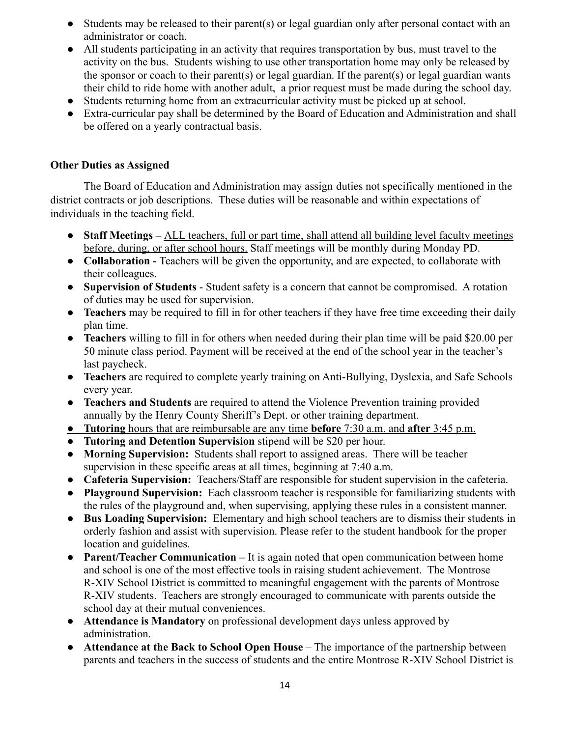- Students may be released to their parent(s) or legal guardian only after personal contact with an administrator or coach.
- All students participating in an activity that requires transportation by bus, must travel to the activity on the bus. Students wishing to use other transportation home may only be released by the sponsor or coach to their parent(s) or legal guardian. If the parent(s) or legal guardian wants their child to ride home with another adult, a prior request must be made during the school day.
- Students returning home from an extracurricular activity must be picked up at school.
- Extra-curricular pay shall be determined by the Board of Education and Administration and shall be offered on a yearly contractual basis.

### **Other Duties as Assigned**

The Board of Education and Administration may assign duties not specifically mentioned in the district contracts or job descriptions. These duties will be reasonable and within expectations of individuals in the teaching field.

- **● Staff Meetings –** ALL teachers, full or part time, shall attend all building level faculty meetings before, during, or after school hours. Staff meetings will be monthly during Monday PD.
- **● Collaboration -** Teachers will be given the opportunity, and are expected, to collaborate with their colleagues.
- **● Supervision of Students** Student safety is a concern that cannot be compromised. A rotation of duties may be used for supervision.
- **● Teachers** may be required to fill in for other teachers if they have free time exceeding their daily plan time.
- **● Teachers** willing to fill in for others when needed during their plan time will be paid \$20.00 per 50 minute class period. Payment will be received at the end of the school year in the teacher's last paycheck.
- **● Teachers** are required to complete yearly training on Anti-Bullying, Dyslexia, and Safe Schools every year.
- **● Teachers and Students** are required to attend the Violence Prevention training provided annually by the Henry County Sheriff's Dept. or other training department.
- **Tutoring** hours that are reimbursable are any time **before** 7:30 a.m. and **after** 3:45 p.m.
- **Tutoring and Detention Supervision** stipend will be \$20 per hour.
- **● Morning Supervision:** Students shall report to assigned areas. There will be teacher supervision in these specific areas at all times, beginning at 7:40 a.m.
- **● Cafeteria Supervision:** Teachers/Staff are responsible for student supervision in the cafeteria.
- **● Playground Supervision:** Each classroom teacher is responsible for familiarizing students with the rules of the playground and, when supervising, applying these rules in a consistent manner.
- **● Bus Loading Supervision:** Elementary and high school teachers are to dismiss their students in orderly fashion and assist with supervision. Please refer to the student handbook for the proper location and guidelines.
- **Parent/Teacher Communication** It is again noted that open communication between home and school is one of the most effective tools in raising student achievement. The Montrose R-XIV School District is committed to meaningful engagement with the parents of Montrose R-XIV students. Teachers are strongly encouraged to communicate with parents outside the school day at their mutual conveniences.
- **Attendance is Mandatory** on professional development days unless approved by administration.
- **● Attendance at the Back to School Open House** The importance of the partnership between parents and teachers in the success of students and the entire Montrose R-XIV School District is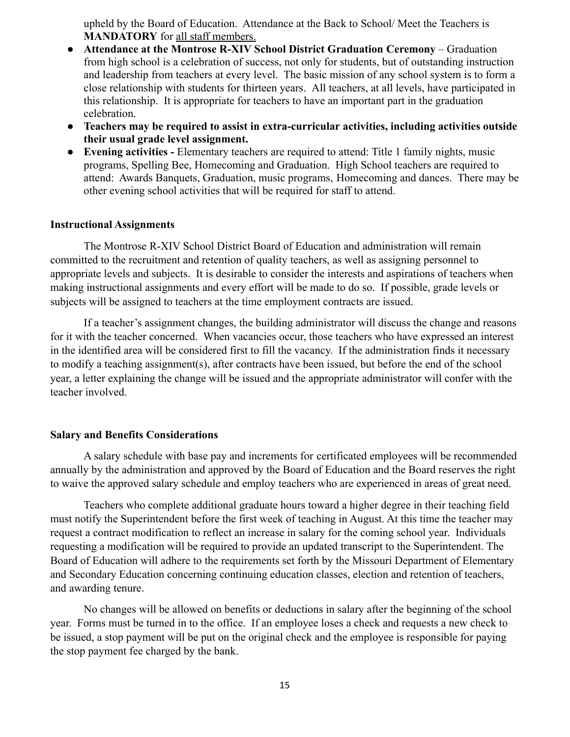upheld by the Board of Education. Attendance at the Back to School/ Meet the Teachers is **MANDATORY** for all staff members.

- **● Attendance at the Montrose R-XIV School District Graduation Ceremony** Graduation from high school is a celebration of success, not only for students, but of outstanding instruction and leadership from teachers at every level. The basic mission of any school system is to form a close relationship with students for thirteen years. All teachers, at all levels, have participated in this relationship. It is appropriate for teachers to have an important part in the graduation celebration.
- **● Teachers may be required to assist in extra-curricular activities, including activities outside their usual grade level assignment.**
- **● Evening activities -** Elementary teachers are required to attend: Title 1 family nights, music programs, Spelling Bee, Homecoming and Graduation. High School teachers are required to attend: Awards Banquets, Graduation, music programs, Homecoming and dances. There may be other evening school activities that will be required for staff to attend.

#### **Instructional Assignments**

The Montrose R-XIV School District Board of Education and administration will remain committed to the recruitment and retention of quality teachers, as well as assigning personnel to appropriate levels and subjects. It is desirable to consider the interests and aspirations of teachers when making instructional assignments and every effort will be made to do so. If possible, grade levels or subjects will be assigned to teachers at the time employment contracts are issued.

If a teacher's assignment changes, the building administrator will discuss the change and reasons for it with the teacher concerned. When vacancies occur, those teachers who have expressed an interest in the identified area will be considered first to fill the vacancy. If the administration finds it necessary to modify a teaching assignment(s), after contracts have been issued, but before the end of the school year, a letter explaining the change will be issued and the appropriate administrator will confer with the teacher involved.

#### **Salary and Benefits Considerations**

A salary schedule with base pay and increments for certificated employees will be recommended annually by the administration and approved by the Board of Education and the Board reserves the right to waive the approved salary schedule and employ teachers who are experienced in areas of great need.

Teachers who complete additional graduate hours toward a higher degree in their teaching field must notify the Superintendent before the first week of teaching in August. At this time the teacher may request a contract modification to reflect an increase in salary for the coming school year. Individuals requesting a modification will be required to provide an updated transcript to the Superintendent. The Board of Education will adhere to the requirements set forth by the Missouri Department of Elementary and Secondary Education concerning continuing education classes, election and retention of teachers, and awarding tenure.

No changes will be allowed on benefits or deductions in salary after the beginning of the school year. Forms must be turned in to the office. If an employee loses a check and requests a new check to be issued, a stop payment will be put on the original check and the employee is responsible for paying the stop payment fee charged by the bank.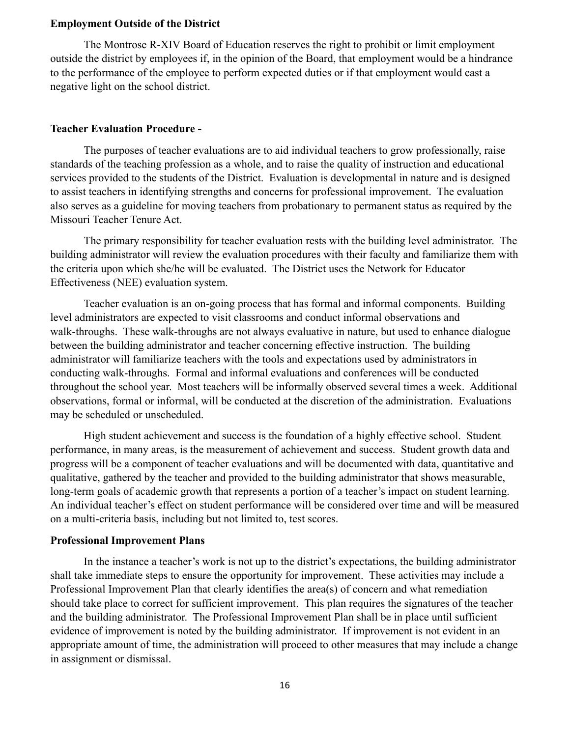#### **Employment Outside of the District**

The Montrose R-XIV Board of Education reserves the right to prohibit or limit employment outside the district by employees if, in the opinion of the Board, that employment would be a hindrance to the performance of the employee to perform expected duties or if that employment would cast a negative light on the school district.

#### **Teacher Evaluation Procedure -**

The purposes of teacher evaluations are to aid individual teachers to grow professionally, raise standards of the teaching profession as a whole, and to raise the quality of instruction and educational services provided to the students of the District. Evaluation is developmental in nature and is designed to assist teachers in identifying strengths and concerns for professional improvement. The evaluation also serves as a guideline for moving teachers from probationary to permanent status as required by the Missouri Teacher Tenure Act.

The primary responsibility for teacher evaluation rests with the building level administrator. The building administrator will review the evaluation procedures with their faculty and familiarize them with the criteria upon which she/he will be evaluated. The District uses the Network for Educator Effectiveness (NEE) evaluation system.

Teacher evaluation is an on-going process that has formal and informal components. Building level administrators are expected to visit classrooms and conduct informal observations and walk-throughs. These walk-throughs are not always evaluative in nature, but used to enhance dialogue between the building administrator and teacher concerning effective instruction. The building administrator will familiarize teachers with the tools and expectations used by administrators in conducting walk-throughs. Formal and informal evaluations and conferences will be conducted throughout the school year. Most teachers will be informally observed several times a week. Additional observations, formal or informal, will be conducted at the discretion of the administration. Evaluations may be scheduled or unscheduled.

High student achievement and success is the foundation of a highly effective school. Student performance, in many areas, is the measurement of achievement and success. Student growth data and progress will be a component of teacher evaluations and will be documented with data, quantitative and qualitative, gathered by the teacher and provided to the building administrator that shows measurable, long-term goals of academic growth that represents a portion of a teacher's impact on student learning. An individual teacher's effect on student performance will be considered over time and will be measured on a multi-criteria basis, including but not limited to, test scores.

#### **Professional Improvement Plans**

In the instance a teacher's work is not up to the district's expectations, the building administrator shall take immediate steps to ensure the opportunity for improvement. These activities may include a Professional Improvement Plan that clearly identifies the area(s) of concern and what remediation should take place to correct for sufficient improvement. This plan requires the signatures of the teacher and the building administrator. The Professional Improvement Plan shall be in place until sufficient evidence of improvement is noted by the building administrator. If improvement is not evident in an appropriate amount of time, the administration will proceed to other measures that may include a change in assignment or dismissal.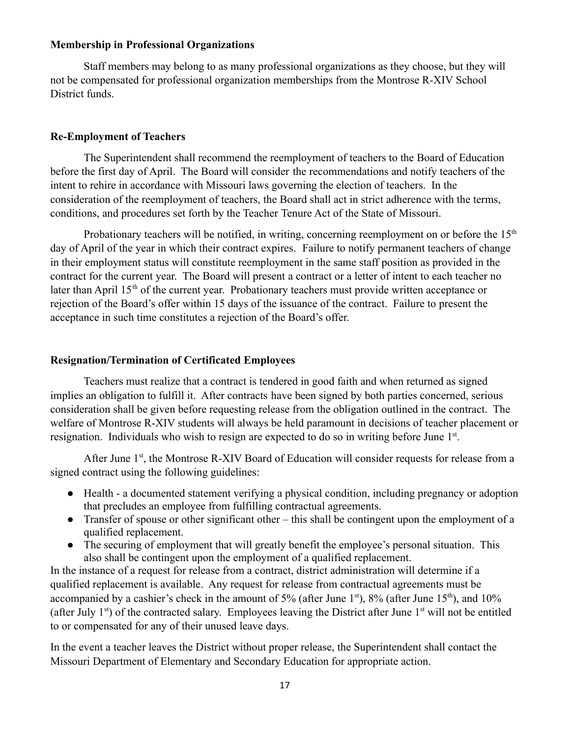#### **Membership in Professional Organizations**

Staff members may belong to as many professional organizations as they choose, but they will not be compensated for professional organization memberships from the Montrose R-XIV School District funds.

#### **Re-Employment of Teachers**

The Superintendent shall recommend the reemployment of teachers to the Board of Education before the first day of April. The Board will consider the recommendations and notify teachers of the intent to rehire in accordance with Missouri laws governing the election of teachers. In the consideration of the reemployment of teachers, the Board shall act in strict adherence with the terms, conditions, and procedures set forth by the Teacher Tenure Act of the State of Missouri.

Probationary teachers will be notified, in writing, concerning reemployment on or before the 15<sup>th</sup> day of April of the year in which their contract expires. Failure to notify permanent teachers of change in their employment status will constitute reemployment in the same staff position as provided in the contract for the current year. The Board will present a contract or a letter of intent to each teacher no later than April 15<sup>th</sup> of the current year. Probationary teachers must provide written acceptance or rejection of the Board's offer within 15 days of the issuance of the contract. Failure to present the acceptance in such time constitutes a rejection of the Board's offer.

#### **Resignation/Termination of Certificated Employees**

Teachers must realize that a contract is tendered in good faith and when returned as signed implies an obligation to fulfill it. After contracts have been signed by both parties concerned, serious consideration shall be given before requesting release from the obligation outlined in the contract. The welfare of Montrose R-XIV students will always be held paramount in decisions of teacher placement or resignation. Individuals who wish to resign are expected to do so in writing before June 1<sup>st</sup>.

After June 1<sup>st</sup>, the Montrose R-XIV Board of Education will consider requests for release from a signed contract using the following guidelines:

- Health a documented statement verifying a physical condition, including pregnancy or adoption that precludes an employee from fulfilling contractual agreements.
- Transfer of spouse or other significant other this shall be contingent upon the employment of a qualified replacement.
- The securing of employment that will greatly benefit the employee's personal situation. This also shall be contingent upon the employment of a qualified replacement.

In the instance of a request for release from a contract, district administration will determine if a qualified replacement is available. Any request for release from contractual agreements must be accompanied by a cashier's check in the amount of  $5\%$  (after June  $1\$ {st}}),  $8\%$  (after June  $15th$ ), and  $10\%$ (after July  $1<sup>st</sup>$ ) of the contracted salary. Employees leaving the District after June  $1<sup>st</sup>$  will not be entitled to or compensated for any of their unused leave days.

In the event a teacher leaves the District without proper release, the Superintendent shall contact the Missouri Department of Elementary and Secondary Education for appropriate action.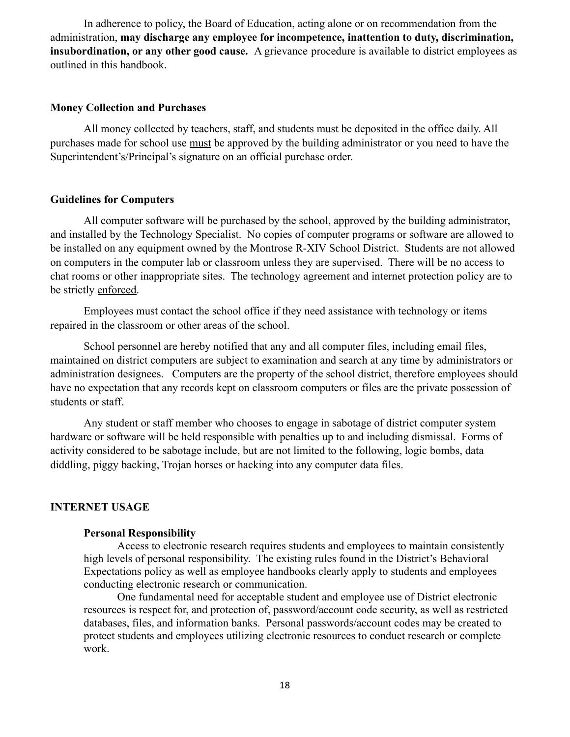In adherence to policy, the Board of Education, acting alone or on recommendation from the administration, **may discharge any employee for incompetence, inattention to duty, discrimination, insubordination, or any other good cause.** A grievance procedure is available to district employees as outlined in this handbook.

#### **Money Collection and Purchases**

All money collected by teachers, staff, and students must be deposited in the office daily. All purchases made for school use must be approved by the building administrator or you need to have the Superintendent's/Principal's signature on an official purchase order.

#### **Guidelines for Computers**

All computer software will be purchased by the school, approved by the building administrator, and installed by the Technology Specialist. No copies of computer programs or software are allowed to be installed on any equipment owned by the Montrose R-XIV School District. Students are not allowed on computers in the computer lab or classroom unless they are supervised. There will be no access to chat rooms or other inappropriate sites. The technology agreement and internet protection policy are to be strictly enforced.

Employees must contact the school office if they need assistance with technology or items repaired in the classroom or other areas of the school.

School personnel are hereby notified that any and all computer files, including email files, maintained on district computers are subject to examination and search at any time by administrators or administration designees. Computers are the property of the school district, therefore employees should have no expectation that any records kept on classroom computers or files are the private possession of students or staff.

Any student or staff member who chooses to engage in sabotage of district computer system hardware or software will be held responsible with penalties up to and including dismissal. Forms of activity considered to be sabotage include, but are not limited to the following, logic bombs, data diddling, piggy backing, Trojan horses or hacking into any computer data files.

#### **INTERNET USAGE**

#### **Personal Responsibility**

Access to electronic research requires students and employees to maintain consistently high levels of personal responsibility. The existing rules found in the District's Behavioral Expectations policy as well as employee handbooks clearly apply to students and employees conducting electronic research or communication.

One fundamental need for acceptable student and employee use of District electronic resources is respect for, and protection of, password/account code security, as well as restricted databases, files, and information banks. Personal passwords/account codes may be created to protect students and employees utilizing electronic resources to conduct research or complete work.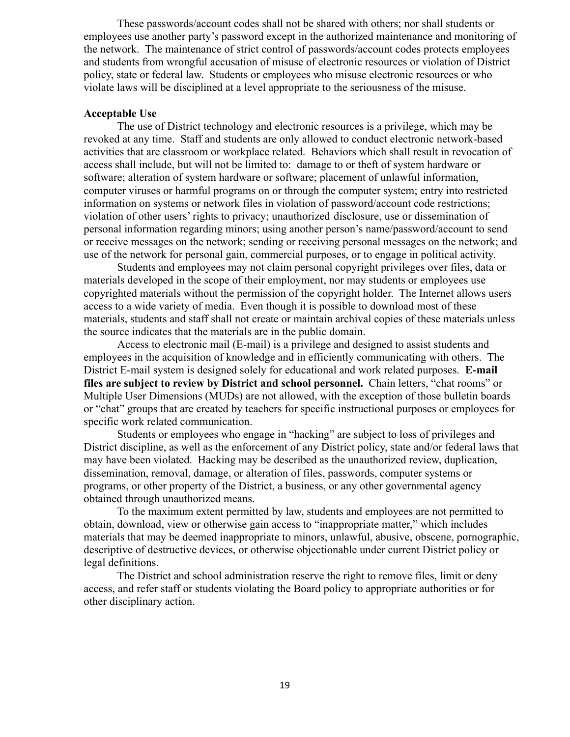These passwords/account codes shall not be shared with others; nor shall students or employees use another party's password except in the authorized maintenance and monitoring of the network. The maintenance of strict control of passwords/account codes protects employees and students from wrongful accusation of misuse of electronic resources or violation of District policy, state or federal law. Students or employees who misuse electronic resources or who violate laws will be disciplined at a level appropriate to the seriousness of the misuse.

#### **Acceptable Use**

The use of District technology and electronic resources is a privilege, which may be revoked at any time. Staff and students are only allowed to conduct electronic network-based activities that are classroom or workplace related. Behaviors which shall result in revocation of access shall include, but will not be limited to: damage to or theft of system hardware or software; alteration of system hardware or software; placement of unlawful information, computer viruses or harmful programs on or through the computer system; entry into restricted information on systems or network files in violation of password/account code restrictions; violation of other users' rights to privacy; unauthorized disclosure, use or dissemination of personal information regarding minors; using another person's name/password/account to send or receive messages on the network; sending or receiving personal messages on the network; and use of the network for personal gain, commercial purposes, or to engage in political activity.

Students and employees may not claim personal copyright privileges over files, data or materials developed in the scope of their employment, nor may students or employees use copyrighted materials without the permission of the copyright holder. The Internet allows users access to a wide variety of media. Even though it is possible to download most of these materials, students and staff shall not create or maintain archival copies of these materials unless the source indicates that the materials are in the public domain.

Access to electronic mail (E-mail) is a privilege and designed to assist students and employees in the acquisition of knowledge and in efficiently communicating with others. The District E-mail system is designed solely for educational and work related purposes. **E-mail files are subject to review by District and school personnel.** Chain letters, "chat rooms" or Multiple User Dimensions (MUDs) are not allowed, with the exception of those bulletin boards or "chat" groups that are created by teachers for specific instructional purposes or employees for specific work related communication.

Students or employees who engage in "hacking" are subject to loss of privileges and District discipline, as well as the enforcement of any District policy, state and/or federal laws that may have been violated. Hacking may be described as the unauthorized review, duplication, dissemination, removal, damage, or alteration of files, passwords, computer systems or programs, or other property of the District, a business, or any other governmental agency obtained through unauthorized means.

To the maximum extent permitted by law, students and employees are not permitted to obtain, download, view or otherwise gain access to "inappropriate matter," which includes materials that may be deemed inappropriate to minors, unlawful, abusive, obscene, pornographic, descriptive of destructive devices, or otherwise objectionable under current District policy or legal definitions.

The District and school administration reserve the right to remove files, limit or deny access, and refer staff or students violating the Board policy to appropriate authorities or for other disciplinary action.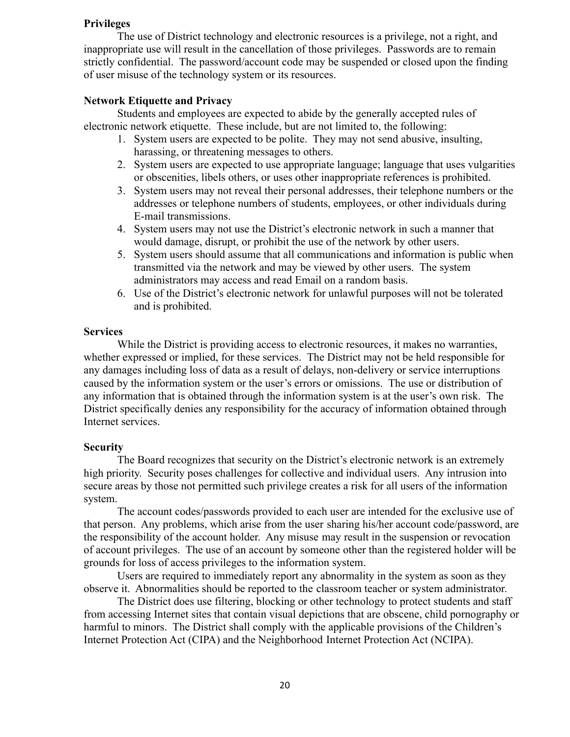## **Privileges**

The use of District technology and electronic resources is a privilege, not a right, and inappropriate use will result in the cancellation of those privileges. Passwords are to remain strictly confidential. The password/account code may be suspended or closed upon the finding of user misuse of the technology system or its resources.

#### **Network Etiquette and Privacy**

Students and employees are expected to abide by the generally accepted rules of electronic network etiquette. These include, but are not limited to, the following:

- 1. System users are expected to be polite. They may not send abusive, insulting, harassing, or threatening messages to others.
- 2. System users are expected to use appropriate language; language that uses vulgarities or obscenities, libels others, or uses other inappropriate references is prohibited.
- 3. System users may not reveal their personal addresses, their telephone numbers or the addresses or telephone numbers of students, employees, or other individuals during E-mail transmissions.
- 4. System users may not use the District's electronic network in such a manner that would damage, disrupt, or prohibit the use of the network by other users.
- 5. System users should assume that all communications and information is public when transmitted via the network and may be viewed by other users. The system administrators may access and read Email on a random basis.
- 6. Use of the District's electronic network for unlawful purposes will not be tolerated and is prohibited.

#### **Services**

While the District is providing access to electronic resources, it makes no warranties, whether expressed or implied, for these services. The District may not be held responsible for any damages including loss of data as a result of delays, non-delivery or service interruptions caused by the information system or the user's errors or omissions. The use or distribution of any information that is obtained through the information system is at the user's own risk. The District specifically denies any responsibility for the accuracy of information obtained through Internet services.

#### **Security**

The Board recognizes that security on the District's electronic network is an extremely high priority. Security poses challenges for collective and individual users. Any intrusion into secure areas by those not permitted such privilege creates a risk for all users of the information system.

The account codes/passwords provided to each user are intended for the exclusive use of that person. Any problems, which arise from the user sharing his/her account code/password, are the responsibility of the account holder. Any misuse may result in the suspension or revocation of account privileges. The use of an account by someone other than the registered holder will be grounds for loss of access privileges to the information system.

Users are required to immediately report any abnormality in the system as soon as they observe it. Abnormalities should be reported to the classroom teacher or system administrator.

The District does use filtering, blocking or other technology to protect students and staff from accessing Internet sites that contain visual depictions that are obscene, child pornography or harmful to minors. The District shall comply with the applicable provisions of the Children's Internet Protection Act (CIPA) and the Neighborhood Internet Protection Act (NCIPA).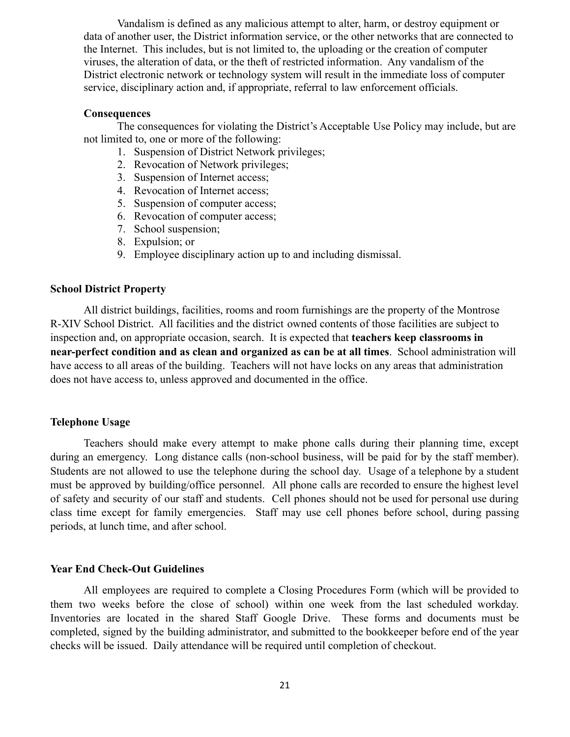Vandalism is defined as any malicious attempt to alter, harm, or destroy equipment or data of another user, the District information service, or the other networks that are connected to the Internet. This includes, but is not limited to, the uploading or the creation of computer viruses, the alteration of data, or the theft of restricted information. Any vandalism of the District electronic network or technology system will result in the immediate loss of computer service, disciplinary action and, if appropriate, referral to law enforcement officials.

#### **Consequences**

The consequences for violating the District's Acceptable Use Policy may include, but are not limited to, one or more of the following:

- 1. Suspension of District Network privileges;
- 2. Revocation of Network privileges;
- 3. Suspension of Internet access;
- 4. Revocation of Internet access;
- 5. Suspension of computer access;
- 6. Revocation of computer access;
- 7. School suspension;
- 8. Expulsion; or
- 9. Employee disciplinary action up to and including dismissal.

#### **School District Property**

All district buildings, facilities, rooms and room furnishings are the property of the Montrose R-XIV School District. All facilities and the district owned contents of those facilities are subject to inspection and, on appropriate occasion, search. It is expected that **teachers keep classrooms in near-perfect condition and as clean and organized as can be at all times**. School administration will have access to all areas of the building. Teachers will not have locks on any areas that administration does not have access to, unless approved and documented in the office.

#### **Telephone Usage**

Teachers should make every attempt to make phone calls during their planning time, except during an emergency. Long distance calls (non-school business, will be paid for by the staff member). Students are not allowed to use the telephone during the school day. Usage of a telephone by a student must be approved by building/office personnel. All phone calls are recorded to ensure the highest level of safety and security of our staff and students. Cell phones should not be used for personal use during class time except for family emergencies. Staff may use cell phones before school, during passing periods, at lunch time, and after school.

#### **Year End Check-Out Guidelines**

All employees are required to complete a Closing Procedures Form (which will be provided to them two weeks before the close of school) within one week from the last scheduled workday. Inventories are located in the shared Staff Google Drive. These forms and documents must be completed, signed by the building administrator, and submitted to the bookkeeper before end of the year checks will be issued. Daily attendance will be required until completion of checkout.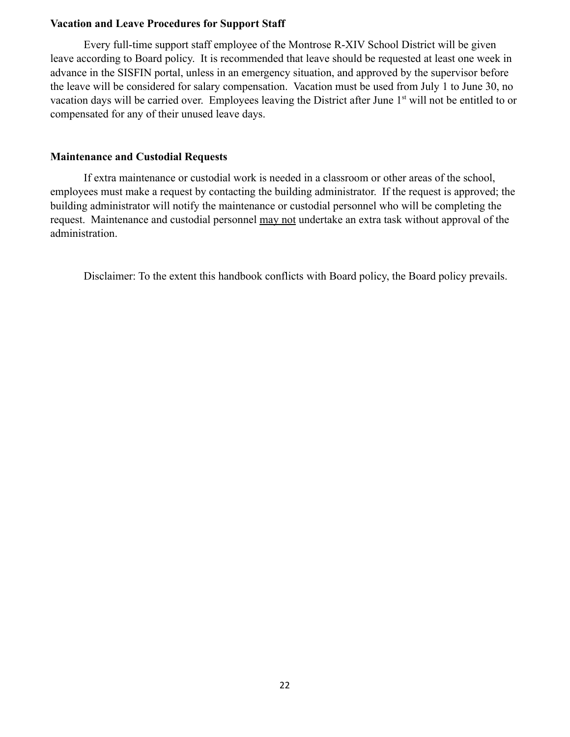#### **Vacation and Leave Procedures for Support Staff**

Every full-time support staff employee of the Montrose R-XIV School District will be given leave according to Board policy. It is recommended that leave should be requested at least one week in advance in the SISFIN portal, unless in an emergency situation, and approved by the supervisor before the leave will be considered for salary compensation. Vacation must be used from July 1 to June 30, no vacation days will be carried over. Employees leaving the District after June 1st will not be entitled to or compensated for any of their unused leave days.

#### **Maintenance and Custodial Requests**

If extra maintenance or custodial work is needed in a classroom or other areas of the school, employees must make a request by contacting the building administrator. If the request is approved; the building administrator will notify the maintenance or custodial personnel who will be completing the request. Maintenance and custodial personnel may not undertake an extra task without approval of the administration.

Disclaimer: To the extent this handbook conflicts with Board policy, the Board policy prevails.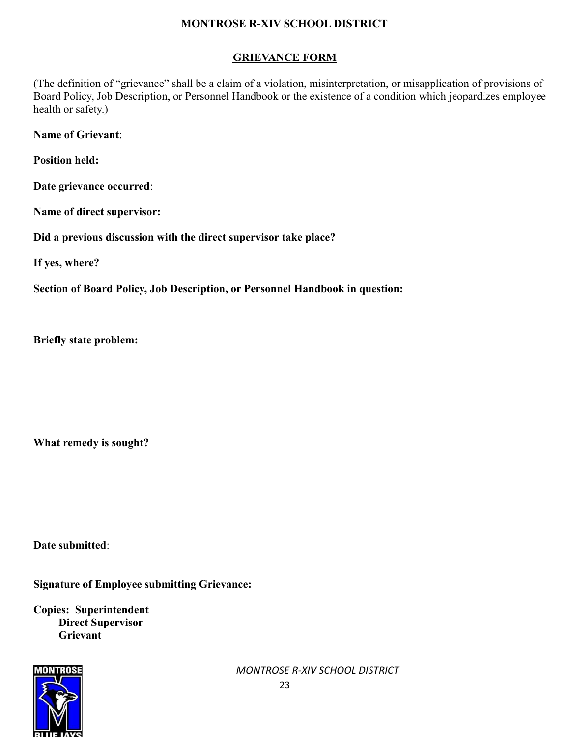## **MONTROSE R-XIV SCHOOL DISTRICT**

## **GRIEVANCE FORM**

(The definition of "grievance" shall be a claim of a violation, misinterpretation, or misapplication of provisions of Board Policy, Job Description, or Personnel Handbook or the existence of a condition which jeopardizes employee health or safety.)

**Name of Grievant**:

**Position held:**

**Date grievance occurred**:

**Name of direct supervisor:**

**Did a previous discussion with the direct supervisor take place?**

**If yes, where?**

**Section of Board Policy, Job Description, or Personnel Handbook in question:**

**Briefly state problem:**

**What remedy is sought?**

**Date submitted**:

**Signature of Employee submitting Grievance:**

**Copies: Superintendent Direct Supervisor Grievant**



*MONTROSE R-XIV SCHOOL DISTRICT*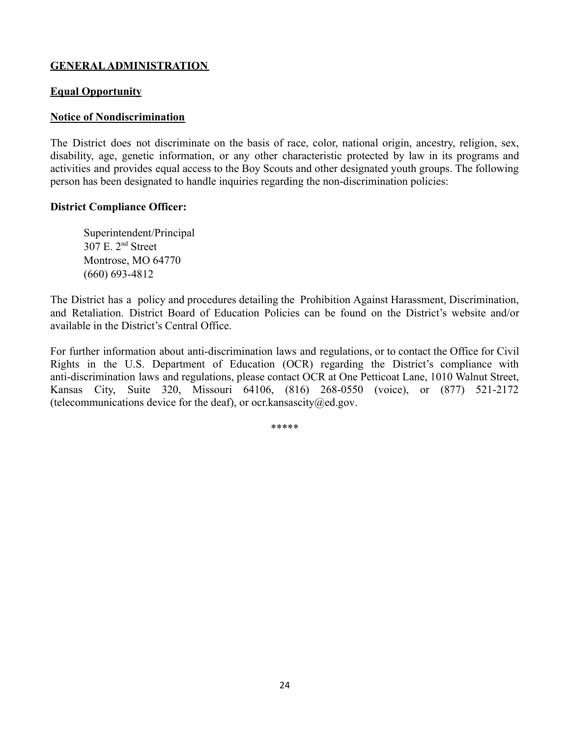## **GENERALADMINISTRATION**

#### **Equal Opportunity**

#### **Notice of Nondiscrimination**

The District does not discriminate on the basis of race, color, national origin, ancestry, religion, sex, disability, age, genetic information, or any other characteristic protected by law in its programs and activities and provides equal access to the Boy Scouts and other designated youth groups. The following person has been designated to handle inquiries regarding the non-discrimination policies:

#### **District Compliance Officer:**

Superintendent/Principal 307 E. 2nd Street Montrose, MO 64770 (660) 693-4812

The District has a policy and procedures detailing the Prohibition Against Harassment, Discrimination, and Retaliation. District Board of Education Policies can be found on the District's website and/or available in the District's Central Office.

For further information about anti-discrimination laws and regulations, or to contact the Office for Civil Rights in the U.S. Department of Education (OCR) regarding the District's compliance with anti-discrimination laws and regulations, please contact OCR at One Petticoat Lane, 1010 Walnut Street, Kansas City, Suite 320, Missouri 64106, (816) 268-0550 (voice), or (877) 521-2172 (telecommunications device for the deaf), or ocr. kansascity@ed.gov.

\*\*\*\*\*